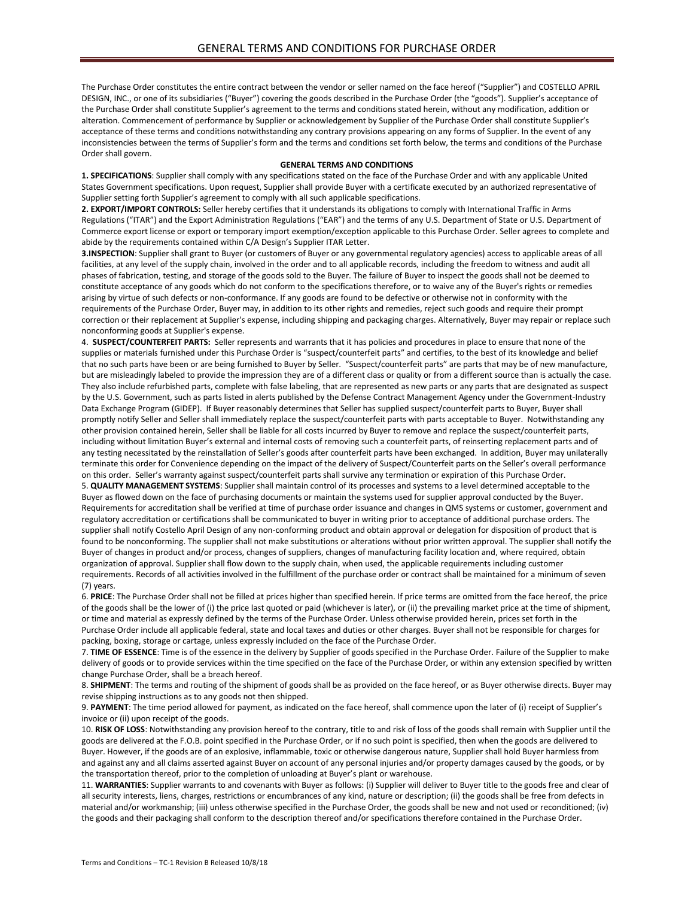The Purchase Order constitutes the entire contract between the vendor or seller named on the face hereof ("Supplier") and COSTELLO APRIL DESIGN, INC., or one of its subsidiaries ("Buyer") covering the goods described in the Purchase Order (the "goods"). Supplier's acceptance of the Purchase Order shall constitute Supplier's agreement to the terms and conditions stated herein, without any modification, addition or alteration. Commencement of performance by Supplier or acknowledgement by Supplier of the Purchase Order shall constitute Supplier's acceptance of these terms and conditions notwithstanding any contrary provisions appearing on any forms of Supplier. In the event of any inconsistencies between the terms of Supplier's form and the terms and conditions set forth below, the terms and conditions of the Purchase Order shall govern.

## **GENERAL TERMS AND CONDITIONS**

**1. SPECIFICATIONS**: Supplier shall comply with any specifications stated on the face of the Purchase Order and with any applicable United States Government specifications. Upon request, Supplier shall provide Buyer with a certificate executed by an authorized representative of Supplier setting forth Supplier's agreement to comply with all such applicable specifications.

**2. EXPORT/IMPORT CONTROLS:** Seller hereby certifies that it understands its obligations to comply with International Traffic in Arms Regulations ("ITAR") and the Export Administration Regulations ("EAR") and the terms of any U.S. Department of State or U.S. Department of Commerce export license or export or temporary import exemption/exception applicable to this Purchase Order. Seller agrees to complete and abide by the requirements contained within C/A Design's Supplier ITAR Letter.

**3.INSPECTION**: Supplier shall grant to Buyer (or customers of Buyer or any governmental regulatory agencies) access to applicable areas of all facilities, at any level of the supply chain, involved in the order and to all applicable records, including the freedom to witness and audit all phases of fabrication, testing, and storage of the goods sold to the Buyer. The failure of Buyer to inspect the goods shall not be deemed to constitute acceptance of any goods which do not conform to the specifications therefore, or to waive any of the Buyer's rights or remedies arising by virtue of such defects or non-conformance. If any goods are found to be defective or otherwise not in conformity with the requirements of the Purchase Order, Buyer may, in addition to its other rights and remedies, reject such goods and require their prompt correction or their replacement at Supplier's expense, including shipping and packaging charges. Alternatively, Buyer may repair or replace such nonconforming goods at Supplier's expense.

4. **SUSPECT/COUNTERFEIT PARTS:** Seller represents and warrants that it has policies and procedures in place to ensure that none of the supplies or materials furnished under this Purchase Order is "suspect/counterfeit parts" and certifies, to the best of its knowledge and belief that no such parts have been or are being furnished to Buyer by Seller. "Suspect/counterfeit parts" are parts that may be of new manufacture, but are misleadingly labeled to provide the impression they are of a different class or quality or from a different source than is actually the case. They also include refurbished parts, complete with false labeling, that are represented as new parts or any parts that are designated as suspect by the U.S. Government, such as parts listed in alerts published by the Defense Contract Management Agency under the Government-Industry Data Exchange Program (GIDEP). If Buyer reasonably determines that Seller has supplied suspect/counterfeit parts to Buyer, Buyer shall promptly notify Seller and Seller shall immediately replace the suspect/counterfeit parts with parts acceptable to Buyer. Notwithstanding any other provision contained herein, Seller shall be liable for all costs incurred by Buyer to remove and replace the suspect/counterfeit parts, including without limitation Buyer's external and internal costs of removing such a counterfeit parts, of reinserting replacement parts and of any testing necessitated by the reinstallation of Seller's goods after counterfeit parts have been exchanged. In addition, Buyer may unilaterally terminate this order for Convenience depending on the impact of the delivery of Suspect/Counterfeit parts on the Seller's overall performance on this order. Seller's warranty against suspect/counterfeit parts shall survive any termination or expiration of this Purchase Order. 5. **QUALITY MANAGEMENT SYSTEMS**: Supplier shall maintain control of its processes and systems to a level determined acceptable to the Buyer as flowed down on the face of purchasing documents or maintain the systems used for supplier approval conducted by the Buyer. Requirements for accreditation shall be verified at time of purchase order issuance and changes in QMS systems or customer, government and regulatory accreditation or certifications shall be communicated to buyer in writing prior to acceptance of additional purchase orders. The supplier shall notify Costello April Design of any non-conforming product and obtain approval or delegation for disposition of product that is found to be nonconforming. The supplier shall not make substitutions or alterations without prior written approval. The supplier shall notify the Buyer of changes in product and/or process, changes of suppliers, changes of manufacturing facility location and, where required, obtain organization of approval. Supplier shall flow down to the supply chain, when used, the applicable requirements including customer requirements. Records of all activities involved in the fulfillment of the purchase order or contract shall be maintained for a minimum of seven (7) years.

6. **PRICE**: The Purchase Order shall not be filled at prices higher than specified herein. If price terms are omitted from the face hereof, the price of the goods shall be the lower of (i) the price last quoted or paid (whichever is later), or (ii) the prevailing market price at the time of shipment, or time and material as expressly defined by the terms of the Purchase Order. Unless otherwise provided herein, prices set forth in the Purchase Order include all applicable federal, state and local taxes and duties or other charges. Buyer shall not be responsible for charges for packing, boxing, storage or cartage, unless expressly included on the face of the Purchase Order.

7. **TIME OF ESSENCE**: Time is of the essence in the delivery by Supplier of goods specified in the Purchase Order. Failure of the Supplier to make delivery of goods or to provide services within the time specified on the face of the Purchase Order, or within any extension specified by written change Purchase Order, shall be a breach hereof.

8. **SHIPMENT**: The terms and routing of the shipment of goods shall be as provided on the face hereof, or as Buyer otherwise directs. Buyer may revise shipping instructions as to any goods not then shipped.

9. **PAYMENT**: The time period allowed for payment, as indicated on the face hereof, shall commence upon the later of (i) receipt of Supplier's invoice or (ii) upon receipt of the goods.

10. **RISK OF LOSS**: Notwithstanding any provision hereof to the contrary, title to and risk of loss of the goods shall remain with Supplier until the goods are delivered at the F.O.B. point specified in the Purchase Order, or if no such point is specified, then when the goods are delivered to Buyer. However, if the goods are of an explosive, inflammable, toxic or otherwise dangerous nature, Supplier shall hold Buyer harmless from and against any and all claims asserted against Buyer on account of any personal injuries and/or property damages caused by the goods, or by the transportation thereof, prior to the completion of unloading at Buyer's plant or warehouse.

11. **WARRANTIES**: Supplier warrants to and covenants with Buyer as follows: (i) Supplier will deliver to Buyer title to the goods free and clear of all security interests, liens, charges, restrictions or encumbrances of any kind, nature or description; (ii) the goods shall be free from defects in material and/or workmanship; (iii) unless otherwise specified in the Purchase Order, the goods shall be new and not used or reconditioned; (iv) the goods and their packaging shall conform to the description thereof and/or specifications therefore contained in the Purchase Order.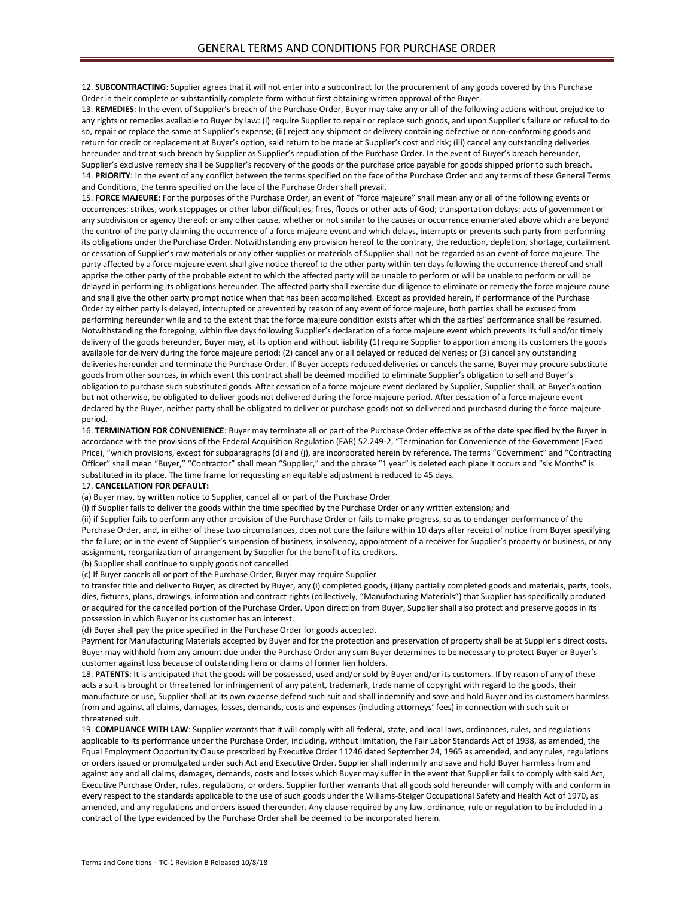12. **SUBCONTRACTING**: Supplier agrees that it will not enter into a subcontract for the procurement of any goods covered by this Purchase Order in their complete or substantially complete form without first obtaining written approval of the Buyer.

13. **REMEDIES**: In the event of Supplier's breach of the Purchase Order, Buyer may take any or all of the following actions without prejudice to any rights or remedies available to Buyer by law: (i) require Supplier to repair or replace such goods, and upon Supplier's failure or refusal to do so, repair or replace the same at Supplier's expense; (ii) reject any shipment or delivery containing defective or non-conforming goods and return for credit or replacement at Buyer's option, said return to be made at Supplier's cost and risk; (iii) cancel any outstanding deliveries hereunder and treat such breach by Supplier as Supplier's repudiation of the Purchase Order. In the event of Buyer's breach hereunder, Supplier's exclusive remedy shall be Supplier's recovery of the goods or the purchase price payable for goods shipped prior to such breach. 14. **PRIORITY**: In the event of any conflict between the terms specified on the face of the Purchase Order and any terms of these General Terms and Conditions, the terms specified on the face of the Purchase Order shall prevail.

15. **FORCE MAJEURE**: For the purposes of the Purchase Order, an event of "force majeure" shall mean any or all of the following events or occurrences: strikes, work stoppages or other labor difficulties; fires, floods or other acts of God; transportation delays; acts of government or any subdivision or agency thereof; or any other cause, whether or not similar to the causes or occurrence enumerated above which are beyond the control of the party claiming the occurrence of a force majeure event and which delays, interrupts or prevents such party from performing its obligations under the Purchase Order. Notwithstanding any provision hereof to the contrary, the reduction, depletion, shortage, curtailment or cessation of Supplier's raw materials or any other supplies or materials of Supplier shall not be regarded as an event of force majeure. The party affected by a force majeure event shall give notice thereof to the other party within ten days following the occurrence thereof and shall apprise the other party of the probable extent to which the affected party will be unable to perform or will be unable to perform or will be delayed in performing its obligations hereunder. The affected party shall exercise due diligence to eliminate or remedy the force majeure cause and shall give the other party prompt notice when that has been accomplished. Except as provided herein, if performance of the Purchase Order by either party is delayed, interrupted or prevented by reason of any event of force majeure, both parties shall be excused from performing hereunder while and to the extent that the force majeure condition exists after which the parties' performance shall be resumed. Notwithstanding the foregoing, within five days following Supplier's declaration of a force majeure event which prevents its full and/or timely delivery of the goods hereunder, Buyer may, at its option and without liability (1) require Supplier to apportion among its customers the goods available for delivery during the force majeure period: (2) cancel any or all delayed or reduced deliveries; or (3) cancel any outstanding deliveries hereunder and terminate the Purchase Order. If Buyer accepts reduced deliveries or cancels the same, Buyer may procure substitute goods from other sources, in which event this contract shall be deemed modified to eliminate Supplier's obligation to sell and Buyer's obligation to purchase such substituted goods. After cessation of a force majeure event declared by Supplier, Supplier shall, at Buyer's option but not otherwise, be obligated to deliver goods not delivered during the force majeure period. After cessation of a force majeure event declared by the Buyer, neither party shall be obligated to deliver or purchase goods not so delivered and purchased during the force majeure period.

16. **TERMINATION FOR CONVENIENCE**: Buyer may terminate all or part of the Purchase Order effective as of the date specified by the Buyer in accordance with the provisions of the Federal Acquisition Regulation (FAR) 52.249-2, "Termination for Convenience of the Government (Fixed Price), "which provisions, except for subparagraphs (d) and (j), are incorporated herein by reference. The terms "Government" and "Contracting Officer" shall mean "Buyer," "Contractor" shall mean "Supplier," and the phrase "1 year" is deleted each place it occurs and "six Months" is substituted in its place. The time frame for requesting an equitable adjustment is reduced to 45 days.

## 17. **CANCELLATION FOR DEFAULT:**

(a) Buyer may, by written notice to Supplier, cancel all or part of the Purchase Order

(i) if Supplier fails to deliver the goods within the time specified by the Purchase Order or any written extension; and

(ii) if Supplier fails to perform any other provision of the Purchase Order or fails to make progress, so as to endanger performance of the Purchase Order, and, in either of these two circumstances, does not cure the failure within 10 days after receipt of notice from Buyer specifying the failure; or in the event of Supplier's suspension of business, insolvency, appointment of a receiver for Supplier's property or business, or any assignment, reorganization of arrangement by Supplier for the benefit of its creditors.

(b) Supplier shall continue to supply goods not cancelled.

(c) If Buyer cancels all or part of the Purchase Order, Buyer may require Supplier

to transfer title and deliver to Buyer, as directed by Buyer, any (i) completed goods, (ii)any partially completed goods and materials, parts, tools, dies, fixtures, plans, drawings, information and contract rights (collectively, "Manufacturing Materials") that Supplier has specifically produced or acquired for the cancelled portion of the Purchase Order. Upon direction from Buyer, Supplier shall also protect and preserve goods in its possession in which Buyer or its customer has an interest.

(d) Buyer shall pay the price specified in the Purchase Order for goods accepted.

Payment for Manufacturing Materials accepted by Buyer and for the protection and preservation of property shall be at Supplier's direct costs. Buyer may withhold from any amount due under the Purchase Order any sum Buyer determines to be necessary to protect Buyer or Buyer's customer against loss because of outstanding liens or claims of former lien holders.

18. **PATENTS**: It is anticipated that the goods will be possessed, used and/or sold by Buyer and/or its customers. If by reason of any of these acts a suit is brought or threatened for infringement of any patent, trademark, trade name of copyright with regard to the goods, their manufacture or use, Supplier shall at its own expense defend such suit and shall indemnify and save and hold Buyer and its customers harmless from and against all claims, damages, losses, demands, costs and expenses (including attorneys' fees) in connection with such suit or threatened suit.

19. **COMPLIANCE WITH LAW**: Supplier warrants that it will comply with all federal, state, and local laws, ordinances, rules, and regulations applicable to its performance under the Purchase Order, including, without limitation, the Fair Labor Standards Act of 1938, as amended, the Equal Employment Opportunity Clause prescribed by Executive Order 11246 dated September 24, 1965 as amended, and any rules, regulations or orders issued or promulgated under such Act and Executive Order. Supplier shall indemnify and save and hold Buyer harmless from and against any and all claims, damages, demands, costs and losses which Buyer may suffer in the event that Supplier fails to comply with said Act, Executive Purchase Order, rules, regulations, or orders. Supplier further warrants that all goods sold hereunder will comply with and conform in every respect to the standards applicable to the use of such goods under the Wiliams-Steiger Occupational Safety and Health Act of 1970, as amended, and any regulations and orders issued thereunder. Any clause required by any law, ordinance, rule or regulation to be included in a contract of the type evidenced by the Purchase Order shall be deemed to be incorporated herein.